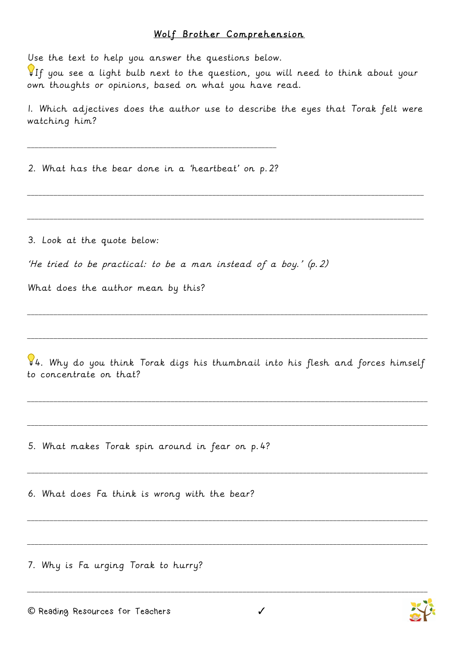## Wolf Brother Comprehension

Use the text to help you answer the questions below.

If you see a light bulb next to the question, you will need to think about your own thoughts or opinions, based on what you have read.

1. Which adjectives does the author use to describe the eyes that Torak felt were watching him?

\_\_\_\_\_\_\_\_\_\_\_\_\_\_\_\_\_\_\_\_\_\_\_\_\_\_\_\_\_\_\_\_\_\_\_\_\_\_\_\_\_\_\_\_\_\_\_\_\_\_\_\_\_\_\_\_\_\_\_\_\_\_\_\_\_\_\_\_\_\_\_\_\_\_\_\_\_\_\_\_\_\_\_\_\_\_\_\_\_\_\_\_\_\_\_\_\_\_\_\_\_\_\_\_\_

\_\_\_\_\_\_\_\_\_\_\_\_\_\_\_\_\_\_\_\_\_\_\_\_\_\_\_\_\_\_\_\_\_\_\_\_\_\_\_\_\_\_\_\_\_\_\_\_\_\_\_\_\_\_\_\_\_\_\_\_\_\_\_\_\_\_\_\_\_\_\_\_\_\_\_\_\_\_\_\_\_\_\_\_\_\_\_\_\_\_\_\_\_\_\_\_\_\_\_\_\_\_\_\_\_

2. What has the bear done in a 'heartbeat' on p.2?

\_\_\_\_\_\_\_\_\_\_\_\_\_\_\_\_\_\_\_\_\_\_\_\_\_\_\_\_\_\_\_\_\_\_\_\_\_\_\_\_\_\_\_\_\_\_\_\_\_\_\_\_\_\_\_\_\_\_\_\_\_\_\_\_\_\_

3. Look at the quote below:

'He tried to be practical: to be a man instead of a boy.' (p.2)

What does the author mean by this?

 $\sqrt{2}4$ . Why do you think Torak digs his thumbnail into his flesh and forces himself to concentrate on that?

\_\_\_\_\_\_\_\_\_\_\_\_\_\_\_\_\_\_\_\_\_\_\_\_\_\_\_\_\_\_\_\_\_\_\_\_\_\_\_\_\_\_\_\_\_\_\_\_\_\_\_\_\_\_\_\_\_\_\_\_\_\_\_\_\_\_\_\_\_\_\_\_\_\_\_\_\_\_\_\_\_\_\_\_\_\_\_\_\_\_\_\_\_\_\_\_\_\_\_\_\_\_\_\_\_\_

\_\_\_\_\_\_\_\_\_\_\_\_\_\_\_\_\_\_\_\_\_\_\_\_\_\_\_\_\_\_\_\_\_\_\_\_\_\_\_\_\_\_\_\_\_\_\_\_\_\_\_\_\_\_\_\_\_\_\_\_\_\_\_\_\_\_\_\_\_\_\_\_\_\_\_\_\_\_\_\_\_\_\_\_\_\_\_\_\_\_\_\_\_\_\_\_\_\_\_\_\_\_\_\_\_\_

\_\_\_\_\_\_\_\_\_\_\_\_\_\_\_\_\_\_\_\_\_\_\_\_\_\_\_\_\_\_\_\_\_\_\_\_\_\_\_\_\_\_\_\_\_\_\_\_\_\_\_\_\_\_\_\_\_\_\_\_\_\_\_\_\_\_\_\_\_\_\_\_\_\_\_\_\_\_\_\_\_\_\_\_\_\_\_\_\_\_\_\_\_\_\_\_\_\_\_\_\_\_\_\_\_\_

\_\_\_\_\_\_\_\_\_\_\_\_\_\_\_\_\_\_\_\_\_\_\_\_\_\_\_\_\_\_\_\_\_\_\_\_\_\_\_\_\_\_\_\_\_\_\_\_\_\_\_\_\_\_\_\_\_\_\_\_\_\_\_\_\_\_\_\_\_\_\_\_\_\_\_\_\_\_\_\_\_\_\_\_\_\_\_\_\_\_\_\_\_\_\_\_\_\_\_\_\_\_\_\_\_\_

\_\_\_\_\_\_\_\_\_\_\_\_\_\_\_\_\_\_\_\_\_\_\_\_\_\_\_\_\_\_\_\_\_\_\_\_\_\_\_\_\_\_\_\_\_\_\_\_\_\_\_\_\_\_\_\_\_\_\_\_\_\_\_\_\_\_\_\_\_\_\_\_\_\_\_\_\_\_\_\_\_\_\_\_\_\_\_\_\_\_\_\_\_\_\_\_\_\_\_\_\_\_\_\_\_\_

\_\_\_\_\_\_\_\_\_\_\_\_\_\_\_\_\_\_\_\_\_\_\_\_\_\_\_\_\_\_\_\_\_\_\_\_\_\_\_\_\_\_\_\_\_\_\_\_\_\_\_\_\_\_\_\_\_\_\_\_\_\_\_\_\_\_\_\_\_\_\_\_\_\_\_\_\_\_\_\_\_\_\_\_\_\_\_\_\_\_\_\_\_\_\_\_\_\_\_\_\_\_\_\_\_\_

\_\_\_\_\_\_\_\_\_\_\_\_\_\_\_\_\_\_\_\_\_\_\_\_\_\_\_\_\_\_\_\_\_\_\_\_\_\_\_\_\_\_\_\_\_\_\_\_\_\_\_\_\_\_\_\_\_\_\_\_\_\_\_\_\_\_\_\_\_\_\_\_\_\_\_\_\_\_\_\_\_\_\_\_\_\_\_\_\_\_\_\_\_\_\_\_\_\_\_\_\_\_\_\_\_\_

\_\_\_\_\_\_\_\_\_\_\_\_\_\_\_\_\_\_\_\_\_\_\_\_\_\_\_\_\_\_\_\_\_\_\_\_\_\_\_\_\_\_\_\_\_\_\_\_\_\_\_\_\_\_\_\_\_\_\_\_\_\_\_\_\_\_\_\_\_\_\_\_\_\_\_\_\_\_\_\_\_\_\_\_\_\_\_\_\_\_\_\_\_\_\_\_\_\_\_\_\_\_\_\_\_\_

5. What makes Torak spin around in fear on p.4?

6. What does Fa think is wrong with the bear?

7. Why is Fa urging Torak to hurry?